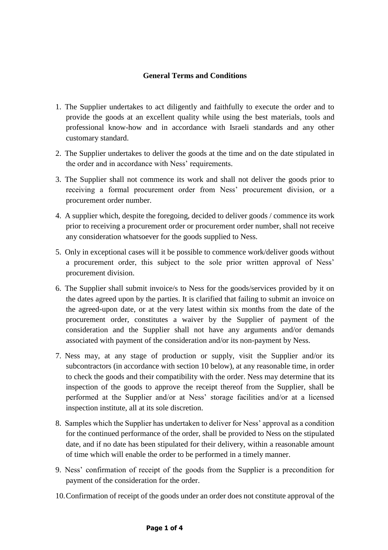## **General Terms and Conditions**

- 1. The Supplier undertakes to act diligently and faithfully to execute the order and to provide the goods at an excellent quality while using the best materials, tools and professional know-how and in accordance with Israeli standards and any other customary standard.
- 2. The Supplier undertakes to deliver the goods at the time and on the date stipulated in the order and in accordance with Ness' requirements.
- 3. The Supplier shall not commence its work and shall not deliver the goods prior to receiving a formal procurement order from Ness' procurement division, or a procurement order number.
- 4. A supplier which, despite the foregoing, decided to deliver goods / commence its work prior to receiving a procurement order or procurement order number, shall not receive any consideration whatsoever for the goods supplied to Ness.
- 5. Only in exceptional cases will it be possible to commence work/deliver goods without a procurement order, this subject to the sole prior written approval of Ness' procurement division.
- 6. The Supplier shall submit invoice/s to Ness for the goods/services provided by it on the dates agreed upon by the parties. It is clarified that failing to submit an invoice on the agreed-upon date, or at the very latest within six months from the date of the procurement order, constitutes a waiver by the Supplier of payment of the consideration and the Supplier shall not have any arguments and/or demands associated with payment of the consideration and/or its non-payment by Ness.
- 7. Ness may, at any stage of production or supply, visit the Supplier and/or its subcontractors (in accordance with section 10 below), at any reasonable time, in order to check the goods and their compatibility with the order. Ness may determine that its inspection of the goods to approve the receipt thereof from the Supplier, shall be performed at the Supplier and/or at Ness' storage facilities and/or at a licensed inspection institute, all at its sole discretion.
- 8. Samples which the Supplier has undertaken to deliver for Ness' approval as a condition for the continued performance of the order, shall be provided to Ness on the stipulated date, and if no date has been stipulated for their delivery, within a reasonable amount of time which will enable the order to be performed in a timely manner.
- 9. Ness' confirmation of receipt of the goods from the Supplier is a precondition for payment of the consideration for the order.
- 10.Confirmation of receipt of the goods under an order does not constitute approval of the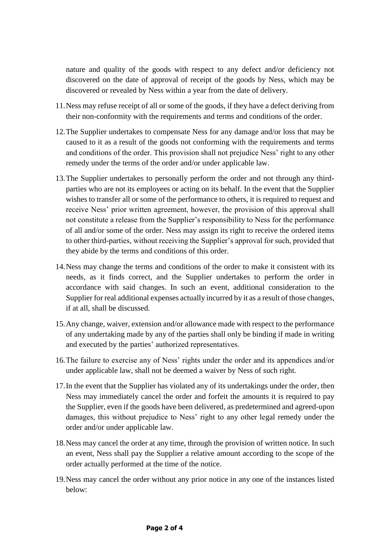nature and quality of the goods with respect to any defect and/or deficiency not discovered on the date of approval of receipt of the goods by Ness, which may be discovered or revealed by Ness within a year from the date of delivery.

- 11.Ness may refuse receipt of all or some of the goods, if they have a defect deriving from their non-conformity with the requirements and terms and conditions of the order.
- 12.The Supplier undertakes to compensate Ness for any damage and/or loss that may be caused to it as a result of the goods not conforming with the requirements and terms and conditions of the order. This provision shall not prejudice Ness' right to any other remedy under the terms of the order and/or under applicable law.
- 13.The Supplier undertakes to personally perform the order and not through any thirdparties who are not its employees or acting on its behalf. In the event that the Supplier wishes to transfer all or some of the performance to others, it is required to request and receive Ness' prior written agreement, however, the provision of this approval shall not constitute a release from the Supplier's responsibility to Ness for the performance of all and/or some of the order. Ness may assign its right to receive the ordered items to other third-parties, without receiving the Supplier's approval for such, provided that they abide by the terms and conditions of this order.
- 14.Ness may change the terms and conditions of the order to make it consistent with its needs, as it finds correct, and the Supplier undertakes to perform the order in accordance with said changes. In such an event, additional consideration to the Supplier for real additional expenses actually incurred by it as a result of those changes, if at all, shall be discussed.
- 15.Any change, waiver, extension and/or allowance made with respect to the performance of any undertaking made by any of the parties shall only be binding if made in writing and executed by the parties' authorized representatives.
- 16.The failure to exercise any of Ness' rights under the order and its appendices and/or under applicable law, shall not be deemed a waiver by Ness of such right.
- 17.In the event that the Supplier has violated any of its undertakings under the order, then Ness may immediately cancel the order and forfeit the amounts it is required to pay the Supplier, even if the goods have been delivered, as predetermined and agreed-upon damages, this without prejudice to Ness' right to any other legal remedy under the order and/or under applicable law.
- 18.Ness may cancel the order at any time, through the provision of written notice. In such an event, Ness shall pay the Supplier a relative amount according to the scope of the order actually performed at the time of the notice.
- 19.Ness may cancel the order without any prior notice in any one of the instances listed below: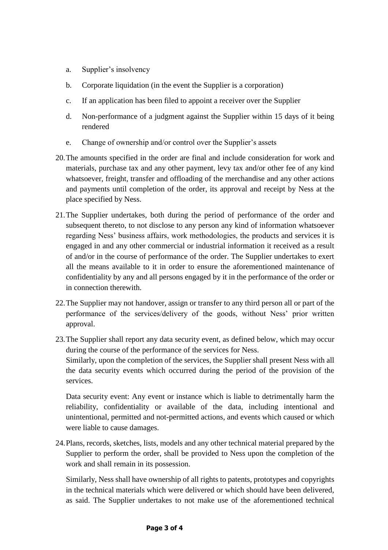- a. Supplier's insolvency
- b. Corporate liquidation (in the event the Supplier is a corporation)
- c. If an application has been filed to appoint a receiver over the Supplier
- d. Non-performance of a judgment against the Supplier within 15 days of it being rendered
- e. Change of ownership and/or control over the Supplier's assets
- 20.The amounts specified in the order are final and include consideration for work and materials, purchase tax and any other payment, levy tax and/or other fee of any kind whatsoever, freight, transfer and offloading of the merchandise and any other actions and payments until completion of the order, its approval and receipt by Ness at the place specified by Ness.
- 21.The Supplier undertakes, both during the period of performance of the order and subsequent thereto, to not disclose to any person any kind of information whatsoever regarding Ness' business affairs, work methodologies, the products and services it is engaged in and any other commercial or industrial information it received as a result of and/or in the course of performance of the order. The Supplier undertakes to exert all the means available to it in order to ensure the aforementioned maintenance of confidentiality by any and all persons engaged by it in the performance of the order or in connection therewith.
- 22.The Supplier may not handover, assign or transfer to any third person all or part of the performance of the services/delivery of the goods, without Ness' prior written approval.
- 23.The Supplier shall report any data security event, as defined below, which may occur during the course of the performance of the services for Ness. Similarly, upon the completion of the services, the Supplier shall present Ness with all the data security events which occurred during the period of the provision of the services.

Data security event: Any event or instance which is liable to detrimentally harm the reliability, confidentiality or available of the data, including intentional and unintentional, permitted and not-permitted actions, and events which caused or which were liable to cause damages.

24.Plans, records, sketches, lists, models and any other technical material prepared by the Supplier to perform the order, shall be provided to Ness upon the completion of the work and shall remain in its possession.

Similarly, Ness shall have ownership of all rights to patents, prototypes and copyrights in the technical materials which were delivered or which should have been delivered, as said. The Supplier undertakes to not make use of the aforementioned technical